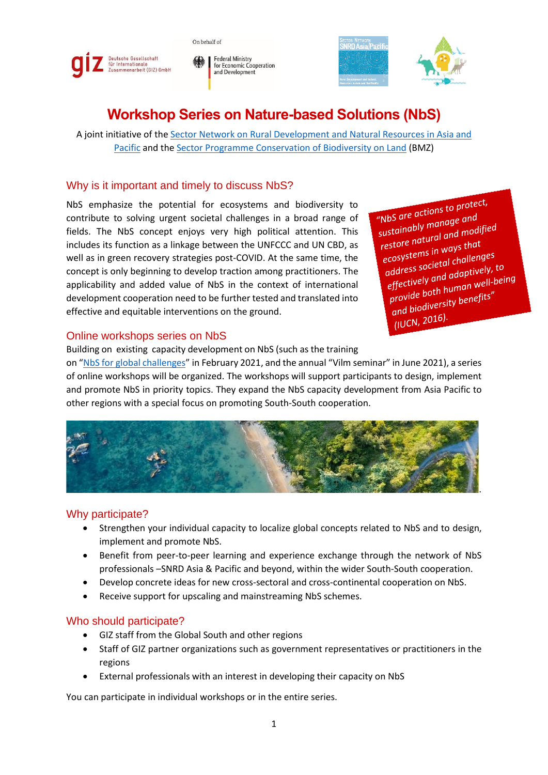



**Federal Ministry** for Economic Cooperation and Development



# **Workshop Series on Nature-based Solutions (NbS)**

A joint initiative of the [Sector Network on Rural Development and Natural Resources in Asia and](https://snrd-asia.org/)  [Pacific](https://snrd-asia.org/) and the [Sector Programme Conservation of Biodiversity on Land](https://www.giz.de/en/worldwide/76636.html) (BMZ)

# Why is it important and timely to discuss NbS?

NbS emphasize the potential for ecosystems and biodiversity to contribute to solving urgent societal challenges in a broad range of fields. The NbS concept enjoys very high political attention. This includes its function as a linkage between the UNFCCC and UN CBD, as well as in green recovery strategies post-COVID. At the same time, the concept is only beginning to develop traction among practitioners. The applicability and added value of NbS in the context of international development cooperation need to be further tested and translated into effective and equitable interventions on the ground.

"NbS are actions to protect, "NbS are actions college and<br>sustainably manage and sustainably manage and<br>sustainably manage and<br>restore natural and modified restore natural and<br>ecosystems in ways that<br>ecosystems in ways that ecosystems in ways the<br>ecosystems in ways then easy address societal challenges address societal chaileriges<br>address societal adaptively, to<br>effectively and adaptively, to<br>the human well-bei effectively and adaptively.<br>effectively and adaptively.<br>provide both human well-being provide both human ...<br>provide both human ...<br>and biodiversity benefits" and pice.<br>(IUCN, 2016).

#### Online workshops series on NbS

Building on existing capacity development on NbS (such as the training

on "[NbS for global challenges](https://snrd-asia.org/publication/?workgroup=resources-nbs-training)" in February 2021, and the annual "Vilm seminar" in June 2021), a series of online workshops will be organized. The workshops will support participants to design, implement and promote NbS in priority topics. They expand the NbS capacity development from Asia Pacific to other regions with a special focus on promoting South-South cooperation.



## Why participate?

- Strengthen your individual capacity to localize global concepts related to NbS and to design, implement and promote NbS.
- Benefit from peer-to-peer learning and experience exchange through the network of NbS professionals –SNRD Asia & Pacific and beyond, within the wider South-South cooperation.
- Develop concrete ideas for new cross-sectoral and cross-continental cooperation on NbS.
- Receive support for upscaling and mainstreaming NbS schemes.

## Who should participate?

- GIZ staff from the Global South and other regions
- Staff of GIZ partner organizations such as government representatives or practitioners in the regions
- External professionals with an interest in developing their capacity on NbS

You can participate in individual workshops or in the entire series.